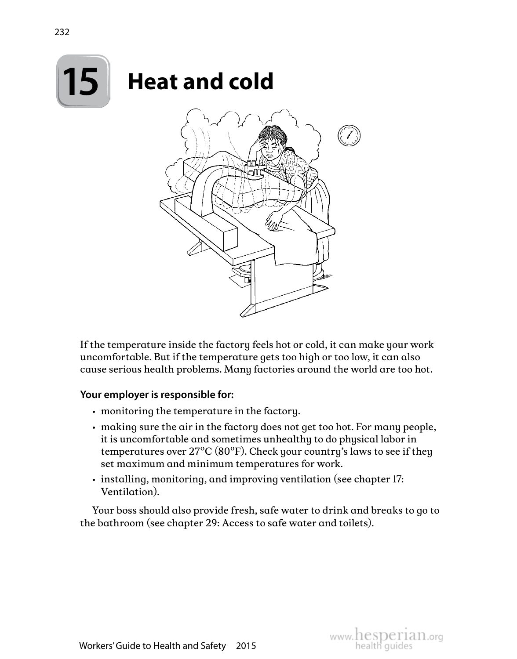

If the temperature inside the factory feels hot or cold, it can make your work uncomfortable. But if the temperature gets too high or too low, it can also cause serious health problems. Many factories around the world are too hot.

#### **Your employer is responsible for:**

- monitoring the temperature in the factory.
- making sure the air in the factory does not get too hot. For many people, it is uncomfortable and sometimes unhealthy to do physical labor in temperatures over  $27^{\circ}C(80^{\circ}F)$ . Check your country's laws to see if they set maximum and minimum temperatures for work.
- installing, monitoring, and improving ventilation (see chapter 17: Ventilation).

Your boss should also provide fresh, safe water to drink and breaks to go to the bathroom (see chapter 29: Access to safe water and toilets).

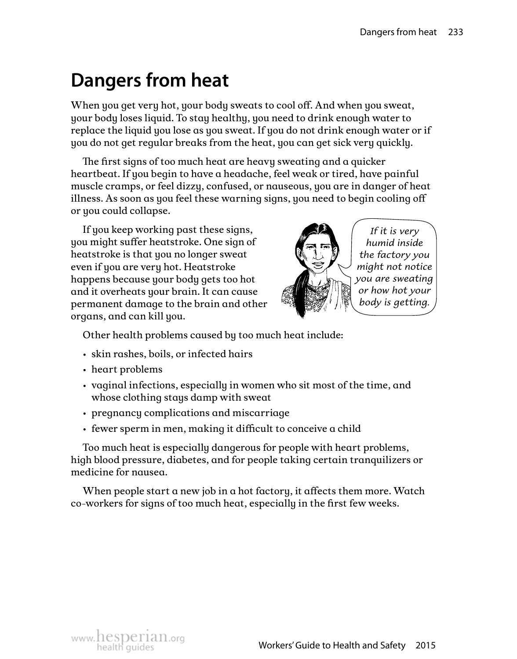# **Dangers from heat**

When you get very hot, your body sweats to cool off. And when you sweat, your body loses liquid. To stay healthy, you need to drink enough water to replace the liquid you lose as you sweat. If you do not drink enough water or if you do not get regular breaks from the heat, you can get sick very quickly.

The first signs of too much heat are heavy sweating and a quicker heartbeat. If you begin to have a headache, feel weak or tired, have painful muscle cramps, or feel dizzy, confused, or nauseous, you are in danger of heat illness. As soon as you feel these warning signs, you need to begin cooling off or you could collapse.

If you keep working past these signs, you might suffer heatstroke. One sign of heatstroke is that you no longer sweat even if you are very hot. Heatstroke happens because your body gets too hot and it overheats your brain. It can cause permanent damage to the brain and other organs, and can kill you.



*If it is very humid inside the factory you might not notice you are sweating or how hot your body is getting.*

Other health problems caused by too much heat include:

- skin rashes, boils, or infected hairs
- heart problems
- vaginal infections, especially in women who sit most of the time, and whose clothing stays damp with sweat
- pregnancy complications and miscarriage
- fewer sperm in men, making it difficult to conceive a child

Too much heat is especially dangerous for people with heart problems, high blood pressure, diabetes, and for people taking certain tranquilizers or medicine for nausea.

When people start a new job in a hot factory, it affects them more. Watch co-workers for signs of too much heat, especially in the first few weeks.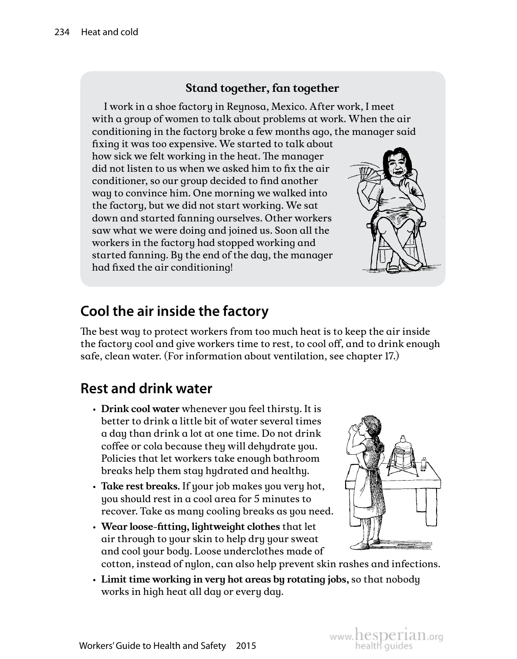#### **Stand together, fan together**

I work in a shoe factory in Reynosa, Mexico. After work, I meet with a group of women to talk about problems at work. When the air conditioning in the factory broke a few months ago, the manager said

fixing it was too expensive. We started to talk about how sick we felt working in the heat. The manager did not listen to us when we asked him to fix the air conditioner, so our group decided to find another way to convince him. One morning we walked into the factory, but we did not start working. We sat down and started fanning ourselves. Other workers saw what we were doing and joined us. Soon all the workers in the factory had stopped working and started fanning. By the end of the day, the manager had fixed the air conditioning!



### **Cool the air inside the factory**

The best way to protect workers from too much heat is to keep the air inside the factory cool and give workers time to rest, to cool off, and to drink enough safe, clean water. (For information about ventilation, see chapter 17.)

### **Rest and drink water**

- **Drink cool water** whenever you feel thirsty. It is better to drink a little bit of water several times a day than drink a lot at one time. Do not drink coffee or cola because they will dehydrate you. Policies that let workers take enough bathroom breaks help them stay hydrated and healthy.
- **Take rest breaks.** If your job makes you very hot, you should rest in a cool area for 5 minutes to recover. Take as many cooling breaks as you need.
- **Wear loose-fitting, lightweight clothes** that let air through to your skin to help dry your sweat and cool your body. Loose underclothes made of



cotton, instead of nylon, can also help prevent skin rashes and infections.

• **Limit time working in very hot areas by rotating jobs,** so that nobody works in high heat all day or every day.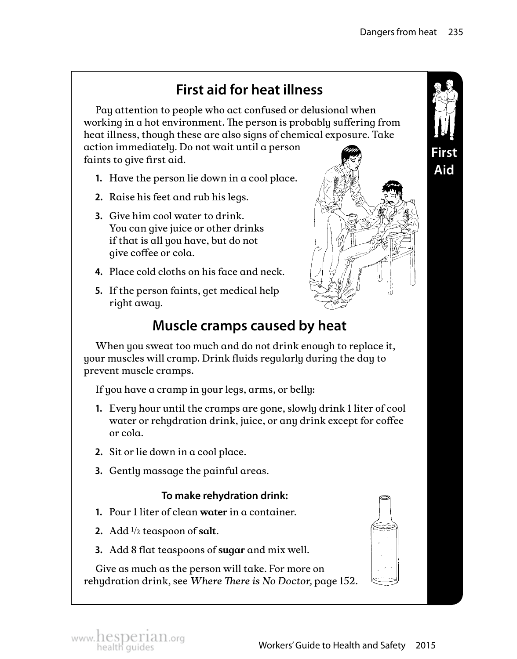## **First aid for heat illness**

Pay attention to people who act confused or delusional when working in a hot environment. The person is probably suffering from heat illness, though these are also signs of chemical exposure. Take action immediately. Do not wait until a person faints to give first aid.

- **1.** Have the person lie down in a cool place.
- **2.** Raise his feet and rub his legs.
- **3.** Give him cool water to drink. You can give juice or other drinks if that is all you have, but do not give coffee or cola.
- **4.**  Place cold cloths on his face and neck.
- **5.** If the person faints, get medical help right away.



## **Muscle cramps caused by heat**

When you sweat too much and do not drink enough to replace it, your muscles will cramp. Drink fluids regularly during the day to prevent muscle cramps.

If you have a cramp in your legs, arms, or belly:

- **1.** Every hour until the cramps are gone, slowly drink 1 liter of cool water or rehydration drink, juice, or any drink except for coffee or cola.
- **2.** Sit or lie down in a cool place.
- **3.** Gently massage the painful areas.

#### **To make rehydration drink:**

- **1.**  Pour 1 liter of clean **water** in a container.
- **2.**  Add ½ teaspoon of **salt**.
- **3.**  Add 8 flat teaspoons of **sugar** and mix well.

Give as much as the person will take. For more on rehydration drink, see *Where There is No Doctor,* page 152.



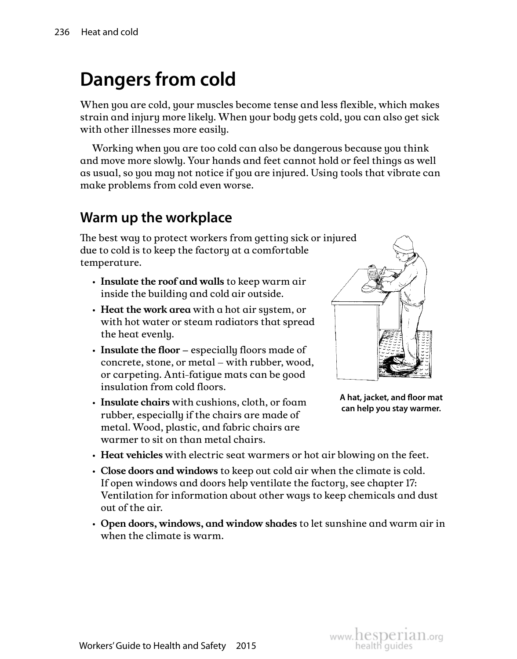# **Dangers from cold**

When you are cold, your muscles become tense and less flexible, which makes strain and injury more likely. When your body gets cold, you can also get sick with other illnesses more easily.

Working when you are too cold can also be dangerous because you think and move more slowly. Your hands and feet cannot hold or feel things as well as usual, so you may not notice if you are injured. Using tools that vibrate can make problems from cold even worse.

## **Warm up the workplace**

The best way to protect workers from getting sick or injured due to cold is to keep the factory at a comfortable temperature.

- **Insulate the roof and walls** to keep warm air inside the building and cold air outside.
- **Heat the work area** with a hot air system, or with hot water or steam radiators that spread the heat evenly.
- **Insulate the floor** especially floors made of concrete, stone, or metal – with rubber, wood, or carpeting. Anti-fatigue mats can be good insulation from cold floors.
- **Insulate chairs** with cushions, cloth, or foam rubber, especially if the chairs are made of metal. Wood, plastic, and fabric chairs are warmer to sit on than metal chairs.



**A hat, jacket, and floor mat can help you stay warmer.** 

- **Heat vehicles** with electric seat warmers or hot air blowing on the feet.
- **Close doors and windows** to keep out cold air when the climate is cold. If open windows and doors help ventilate the factory, see chapter 17: Ventilation for information about other ways to keep chemicals and dust out of the air.
- **Open doors, windows, and window shades** to let sunshine and warm air in when the climate is warm.